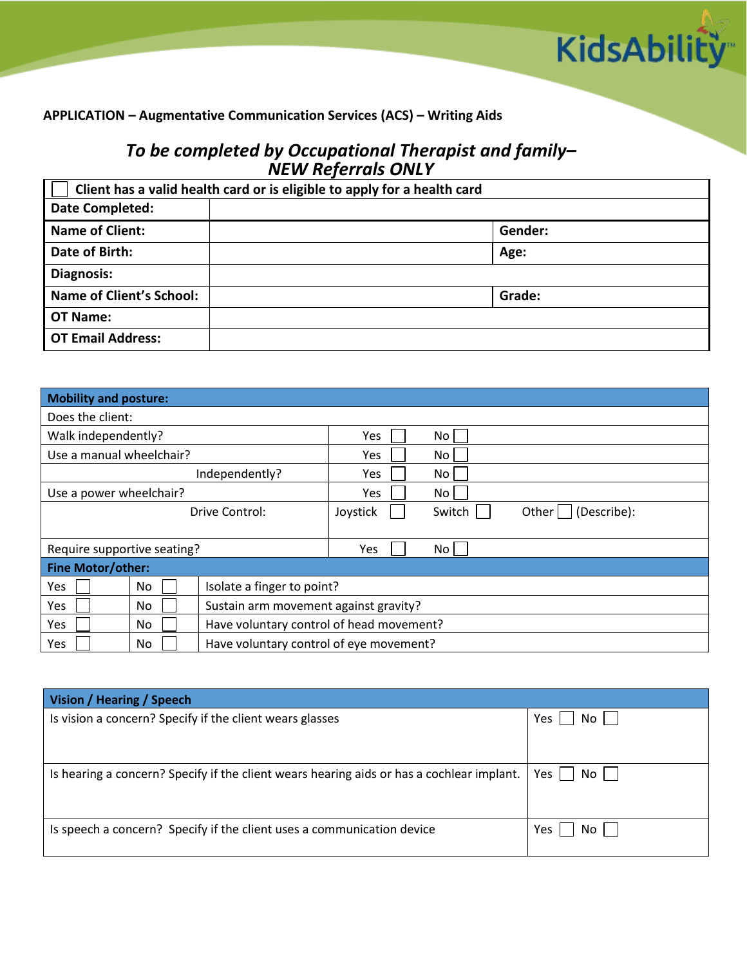

## **APPLICATION – Augmentative Communication Services (ACS) – Writing Aids**

## *To be completed by Occupational Therapist and family– NEW Referrals ONLY*

| Client has a valid health card or is eligible to apply for a health card |         |  |  |  |
|--------------------------------------------------------------------------|---------|--|--|--|
| Date Completed:                                                          |         |  |  |  |
| <b>Name of Client:</b>                                                   | Gender: |  |  |  |
| Date of Birth:                                                           | Age:    |  |  |  |
| Diagnosis:                                                               |         |  |  |  |
| <b>Name of Client's School:</b>                                          | Grade:  |  |  |  |
| OT Name:                                                                 |         |  |  |  |
| <b>OT Email Address:</b>                                                 |         |  |  |  |

| <b>Mobility and posture:</b> |     |                                          |            |                      |  |
|------------------------------|-----|------------------------------------------|------------|----------------------|--|
| Does the client:             |     |                                          |            |                      |  |
| Walk independently?          |     |                                          | Yes        | No                   |  |
| Use a manual wheelchair?     |     | <b>Yes</b>                               | No         |                      |  |
| Independently?               |     | <b>Yes</b>                               | No         |                      |  |
| Use a power wheelchair?      |     |                                          | <b>Yes</b> | No                   |  |
| Drive Control:               |     | Joystick                                 | Switch     | Other<br>(Describe): |  |
|                              |     |                                          |            |                      |  |
| Require supportive seating?  |     |                                          | Yes        | No                   |  |
| <b>Fine Motor/other:</b>     |     |                                          |            |                      |  |
| <b>Yes</b>                   | No  | Isolate a finger to point?               |            |                      |  |
| Yes                          | No. | Sustain arm movement against gravity?    |            |                      |  |
| <b>Yes</b>                   | No  | Have voluntary control of head movement? |            |                      |  |
| Yes                          | No  | Have voluntary control of eye movement?  |            |                      |  |

| Vision / Hearing / Speech                                                                 |                 |  |  |  |  |
|-------------------------------------------------------------------------------------------|-----------------|--|--|--|--|
| Is vision a concern? Specify if the client wears glasses                                  | No    <br>Yes   |  |  |  |  |
| Is hearing a concern? Specify if the client wears hearing aids or has a cochlear implant. | $No$    <br>Yes |  |  |  |  |
| Is speech a concern? Specify if the client uses a communication device                    | Yes<br>No II    |  |  |  |  |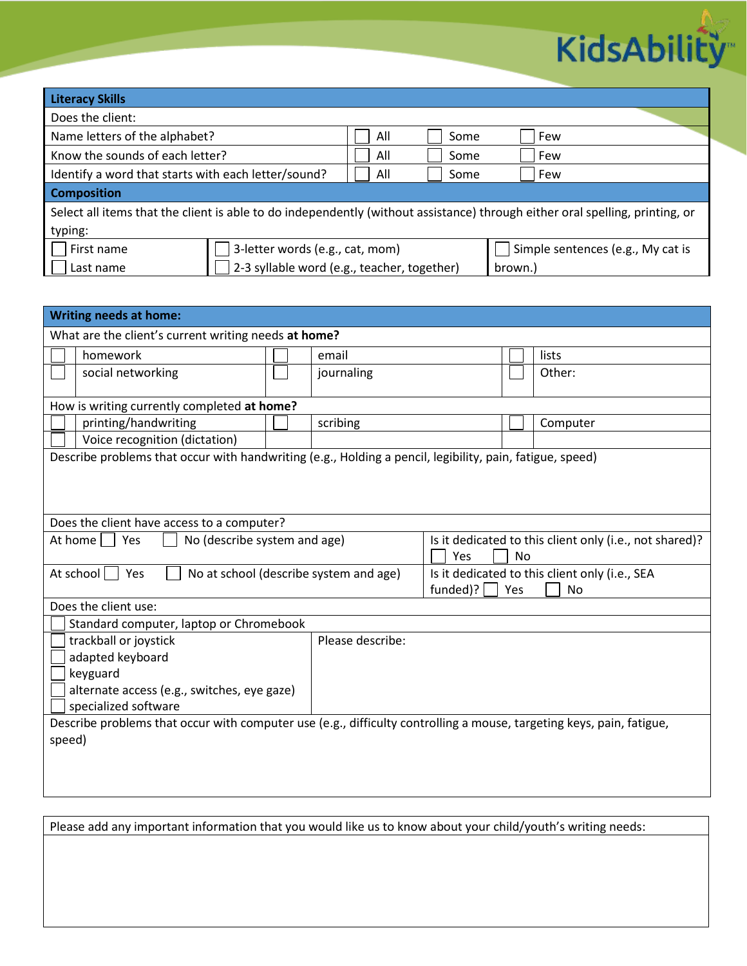

| <b>Literacy Skills</b>                                                                                                       |                                             |      |      |                                   |  |
|------------------------------------------------------------------------------------------------------------------------------|---------------------------------------------|------|------|-----------------------------------|--|
| Does the client:                                                                                                             |                                             |      |      |                                   |  |
| Name letters of the alphabet?                                                                                                |                                             | All  | Some | Few                               |  |
| Know the sounds of each letter?                                                                                              | All                                         | Some | Few  |                                   |  |
| Identify a word that starts with each letter/sound?                                                                          | All                                         | Some | Few  |                                   |  |
| <b>Composition</b>                                                                                                           |                                             |      |      |                                   |  |
| Select all items that the client is able to do independently (without assistance) through either oral spelling, printing, or |                                             |      |      |                                   |  |
| typing:                                                                                                                      |                                             |      |      |                                   |  |
| First name                                                                                                                   | 3-letter words (e.g., cat, mom)             |      |      | Simple sentences (e.g., My cat is |  |
| Last name                                                                                                                    | 2-3 syllable word (e.g., teacher, together) |      |      | brown.)                           |  |

| <b>Writing needs at home:</b>                                                                                        |                  |                                                         |           |          |  |
|----------------------------------------------------------------------------------------------------------------------|------------------|---------------------------------------------------------|-----------|----------|--|
| What are the client's current writing needs at home?                                                                 |                  |                                                         |           |          |  |
| homework                                                                                                             | email            |                                                         |           | lists    |  |
| social networking                                                                                                    | journaling       |                                                         |           | Other:   |  |
|                                                                                                                      |                  |                                                         |           |          |  |
| How is writing currently completed at home?                                                                          |                  |                                                         |           |          |  |
| printing/handwriting                                                                                                 | scribing         |                                                         |           | Computer |  |
| Voice recognition (dictation)                                                                                        |                  |                                                         |           |          |  |
| Describe problems that occur with handwriting (e.g., Holding a pencil, legibility, pain, fatigue, speed)             |                  |                                                         |           |          |  |
|                                                                                                                      |                  |                                                         |           |          |  |
|                                                                                                                      |                  |                                                         |           |          |  |
|                                                                                                                      |                  |                                                         |           |          |  |
| Does the client have access to a computer?                                                                           |                  |                                                         |           |          |  |
| At home     Yes<br>No (describe system and age)                                                                      |                  | Is it dedicated to this client only (i.e., not shared)? |           |          |  |
|                                                                                                                      |                  | Yes                                                     | <b>No</b> |          |  |
| No at school (describe system and age)<br>At school<br>Yes                                                           |                  | Is it dedicated to this client only (i.e., SEA          |           |          |  |
|                                                                                                                      |                  | funded)?<br>Yes<br><b>No</b>                            |           |          |  |
| Does the client use:                                                                                                 |                  |                                                         |           |          |  |
| Standard computer, laptop or Chromebook                                                                              |                  |                                                         |           |          |  |
| trackball or joystick                                                                                                | Please describe: |                                                         |           |          |  |
| adapted keyboard                                                                                                     |                  |                                                         |           |          |  |
| keyguard                                                                                                             |                  |                                                         |           |          |  |
| alternate access (e.g., switches, eye gaze)                                                                          |                  |                                                         |           |          |  |
| specialized software                                                                                                 |                  |                                                         |           |          |  |
| Describe problems that occur with computer use (e.g., difficulty controlling a mouse, targeting keys, pain, fatigue, |                  |                                                         |           |          |  |
| speed)                                                                                                               |                  |                                                         |           |          |  |
|                                                                                                                      |                  |                                                         |           |          |  |
|                                                                                                                      |                  |                                                         |           |          |  |

Please add any important information that you would like us to know about your child/youth's writing needs: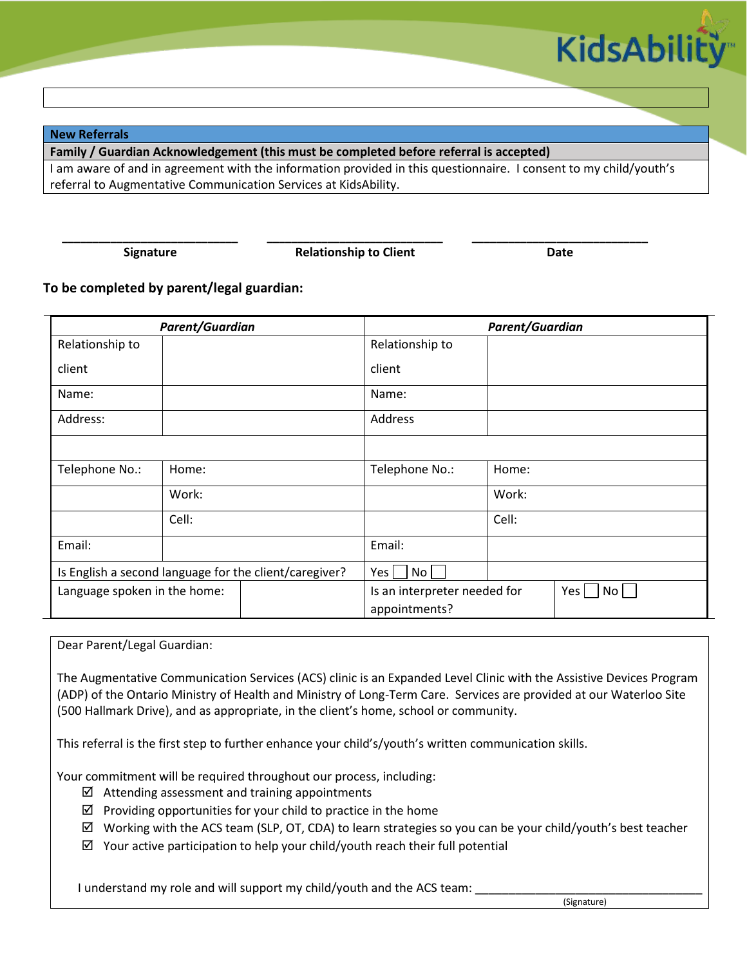

**New Referrals**

**Family / Guardian Acknowledgement (this must be completed before referral is accepted)**

I am aware of and in agreement with the information provided in this questionnaire. I consent to my child/youth's referral to Augmentative Communication Services at KidsAbility.

**\_\_\_\_\_\_\_\_\_\_\_\_\_\_\_\_\_\_\_\_\_\_\_\_\_\_\_\_\_ \_\_\_\_\_\_\_\_\_\_\_\_\_\_\_\_\_\_\_\_\_\_\_\_\_\_\_\_\_ \_\_\_\_\_\_\_\_\_\_\_\_\_\_\_\_\_\_\_\_\_\_\_\_\_\_\_\_\_ Signature Date Relationship to Client Date Date** 

## **To be completed by parent/legal guardian:**

| Parent/Guardian                                        |       | <b>Parent/Guardian</b>                                 |                 |                 |  |
|--------------------------------------------------------|-------|--------------------------------------------------------|-----------------|-----------------|--|
| Relationship to                                        |       |                                                        | Relationship to |                 |  |
| client                                                 |       |                                                        | client          |                 |  |
| Name:                                                  |       |                                                        | Name:           |                 |  |
| Address:                                               |       |                                                        | Address         |                 |  |
|                                                        |       |                                                        |                 |                 |  |
| Telephone No.:                                         | Home: |                                                        | Telephone No.:  | Home:           |  |
|                                                        | Work: |                                                        |                 | Work:           |  |
|                                                        | Cell: |                                                        |                 | Cell:           |  |
| Email:                                                 |       |                                                        | Email:          |                 |  |
| Is English a second language for the client/caregiver? |       | Yes<br>No                                              |                 |                 |  |
| Language spoken in the home:                           |       | Is an interpreter needed for<br>Yes  <br>appointments? |                 | No <sub>1</sub> |  |

Dear Parent/Legal Guardian:

The Augmentative Communication Services (ACS) clinic is an Expanded Level Clinic with the Assistive Devices Program (ADP) of the Ontario Ministry of Health and Ministry of Long-Term Care. Services are provided at our Waterloo Site (500 Hallmark Drive), and as appropriate, in the client's home, school or community.

This referral is the first step to further enhance your child's/youth's written communication skills.

Your commitment will be required throughout our process, including:

- $\boxtimes$  Attending assessment and training appointments
- $\boxtimes$  Providing opportunities for your child to practice in the home
- $\boxtimes$  Working with the ACS team (SLP, OT, CDA) to learn strategies so you can be your child/youth's best teacher

 $\boxtimes$  Your active participation to help your child/youth reach their full potential

I understand my role and will support my child/youth and the ACS team: